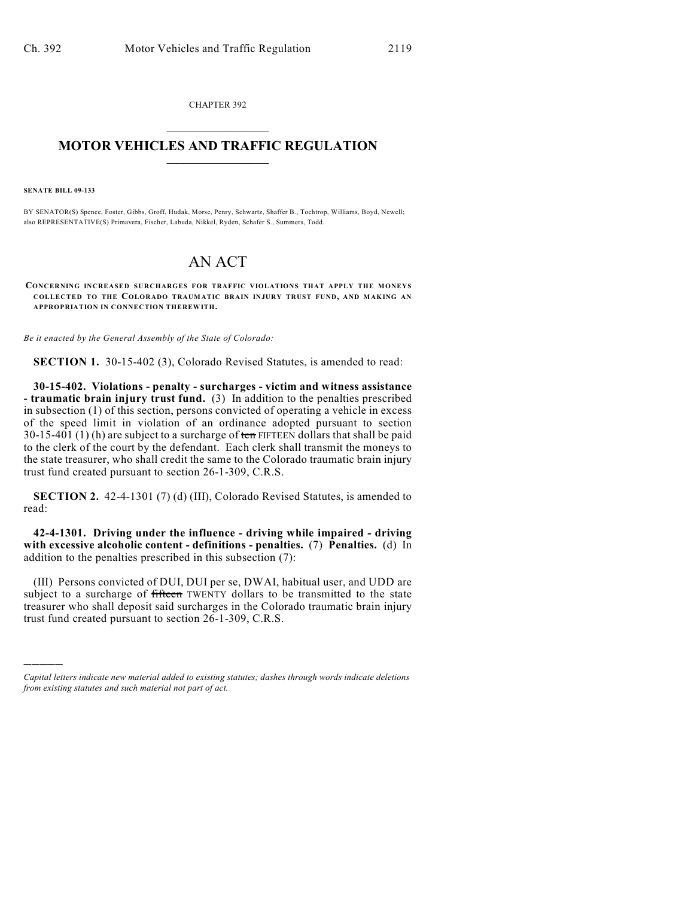CHAPTER 392  $\mathcal{L}_\text{max}$  . The set of the set of the set of the set of the set of the set of the set of the set of the set of the set of the set of the set of the set of the set of the set of the set of the set of the set of the set

## **MOTOR VEHICLES AND TRAFFIC REGULATION**  $\frac{1}{2}$  ,  $\frac{1}{2}$  ,  $\frac{1}{2}$  ,  $\frac{1}{2}$  ,  $\frac{1}{2}$  ,  $\frac{1}{2}$  ,  $\frac{1}{2}$

**SENATE BILL 09-133**

)))))

BY SENATOR(S) Spence, Foster, Gibbs, Groff, Hudak, Morse, Penry, Schwartz, Shaffer B., Tochtrop, Williams, Boyd, Newell; also REPRESENTATIVE(S) Primavera, Fischer, Labuda, Nikkel, Ryden, Schafer S., Summers, Todd.

## AN ACT

**CONCERNING INCREASED SURCHARGES FOR TRAFFIC VIOLATIONS THAT APPLY THE MONEYS COLLECTED TO THE COLORADO TRAUMATIC BRAIN INJURY TRUST FUND, AND MAKING AN APPROPRIATION IN CONNECTION THEREWITH.**

*Be it enacted by the General Assembly of the State of Colorado:*

**SECTION 1.** 30-15-402 (3), Colorado Revised Statutes, is amended to read:

**30-15-402. Violations - penalty - surcharges - victim and witness assistance - traumatic brain injury trust fund.** (3) In addition to the penalties prescribed in subsection (1) of this section, persons convicted of operating a vehicle in excess of the speed limit in violation of an ordinance adopted pursuant to section 30-15-401 (1) (h) are subject to a surcharge of  $t_{\text{cm}}$  FIFTEEN dollars that shall be paid to the clerk of the court by the defendant. Each clerk shall transmit the moneys to the state treasurer, who shall credit the same to the Colorado traumatic brain injury trust fund created pursuant to section 26-1-309, C.R.S.

**SECTION 2.** 42-4-1301 (7) (d) (III), Colorado Revised Statutes, is amended to read:

**42-4-1301. Driving under the influence - driving while impaired - driving with excessive alcoholic content - definitions - penalties.** (7) **Penalties.** (d) In addition to the penalties prescribed in this subsection (7):

(III) Persons convicted of DUI, DUI per se, DWAI, habitual user, and UDD are subject to a surcharge of fifteen TWENTY dollars to be transmitted to the state treasurer who shall deposit said surcharges in the Colorado traumatic brain injury trust fund created pursuant to section 26-1-309, C.R.S.

*Capital letters indicate new material added to existing statutes; dashes through words indicate deletions from existing statutes and such material not part of act.*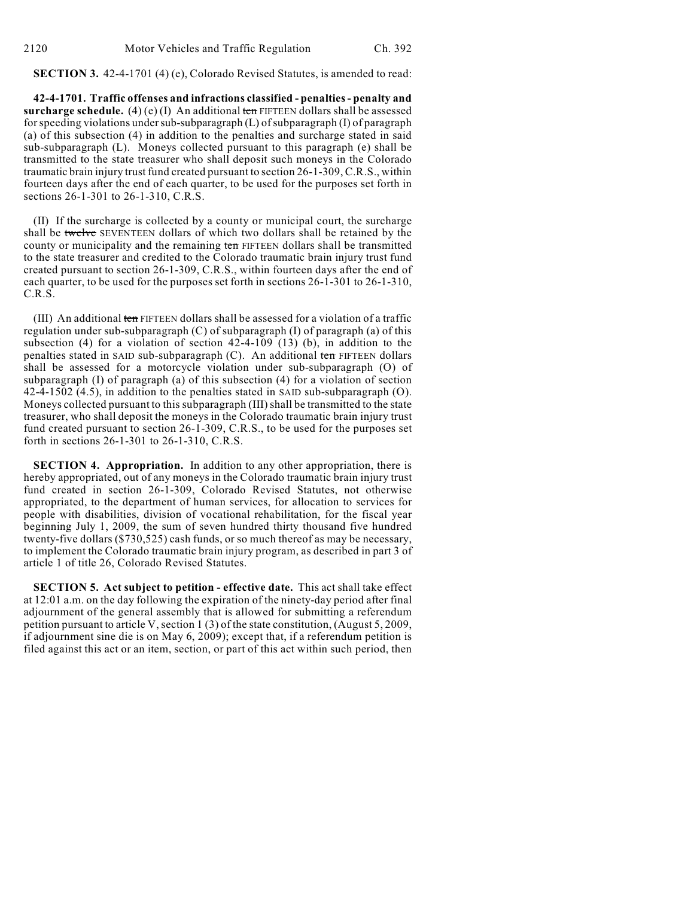**SECTION 3.** 42-4-1701 (4) (e), Colorado Revised Statutes, is amended to read:

**42-4-1701. Traffic offenses and infractions classified - penalties - penalty and surcharge schedule.** (4)(e)(I) An additional ten FIFTEEN dollars shall be assessed for speeding violations under sub-subparagraph (L) of subparagraph (I) of paragraph (a) of this subsection (4) in addition to the penalties and surcharge stated in said sub-subparagraph (L). Moneys collected pursuant to this paragraph (e) shall be transmitted to the state treasurer who shall deposit such moneys in the Colorado traumatic brain injury trust fund created pursuant to section 26-1-309, C.R.S., within fourteen days after the end of each quarter, to be used for the purposes set forth in sections 26-1-301 to 26-1-310, C.R.S.

(II) If the surcharge is collected by a county or municipal court, the surcharge shall be twelve SEVENTEEN dollars of which two dollars shall be retained by the county or municipality and the remaining ten FIFTEEN dollars shall be transmitted to the state treasurer and credited to the Colorado traumatic brain injury trust fund created pursuant to section 26-1-309, C.R.S., within fourteen days after the end of each quarter, to be used for the purposes set forth in sections 26-1-301 to 26-1-310, C.R.S.

(III) An additional ten FIFTEEN dollars shall be assessed for a violation of a traffic regulation under sub-subparagraph (C) of subparagraph (I) of paragraph (a) of this subsection (4) for a violation of section  $42-4-109$  (13) (b), in addition to the penalties stated in SAID sub-subparagraph  $(C)$ . An additional ten FIFTEEN dollars shall be assessed for a motorcycle violation under sub-subparagraph (O) of subparagraph (I) of paragraph (a) of this subsection (4) for a violation of section 42-4-1502 (4.5), in addition to the penalties stated in SAID sub-subparagraph (O). Moneys collected pursuant to this subparagraph (III) shall be transmitted to the state treasurer, who shall deposit the moneys in the Colorado traumatic brain injury trust fund created pursuant to section 26-1-309, C.R.S., to be used for the purposes set forth in sections 26-1-301 to 26-1-310, C.R.S.

**SECTION 4. Appropriation.** In addition to any other appropriation, there is hereby appropriated, out of any moneys in the Colorado traumatic brain injury trust fund created in section 26-1-309, Colorado Revised Statutes, not otherwise appropriated, to the department of human services, for allocation to services for people with disabilities, division of vocational rehabilitation, for the fiscal year beginning July 1, 2009, the sum of seven hundred thirty thousand five hundred twenty-five dollars (\$730,525) cash funds, or so much thereof as may be necessary, to implement the Colorado traumatic brain injury program, as described in part 3 of article 1 of title 26, Colorado Revised Statutes.

**SECTION 5. Act subject to petition - effective date.** This act shall take effect at 12:01 a.m. on the day following the expiration of the ninety-day period after final adjournment of the general assembly that is allowed for submitting a referendum petition pursuant to article V, section 1 (3) of the state constitution, (August 5, 2009, if adjournment sine die is on May 6, 2009); except that, if a referendum petition is filed against this act or an item, section, or part of this act within such period, then